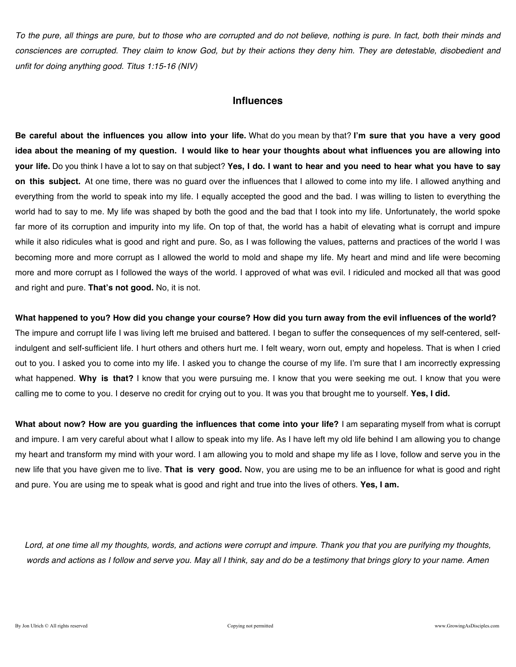*To the pure, all things are pure, but to those who are corrupted and do not believe, nothing is pure. In fact, both their minds and consciences are corrupted. They claim to know God, but by their actions they deny him. They are detestable, disobedient and unfit for doing anything good. Titus 1:15-16 (NIV)*

### **Influences**

**Be careful about the influences you allow into your life.** What do you mean by that? **I'm sure that you have a very good idea about the meaning of my question. I would like to hear your thoughts about what influences you are allowing into your life.** Do you think I have a lot to say on that subject? **Yes, I do. I want to hear and you need to hear what you have to say on this subject.** At one time, there was no guard over the influences that I allowed to come into my life. I allowed anything and everything from the world to speak into my life. I equally accepted the good and the bad. I was willing to listen to everything the world had to say to me. My life was shaped by both the good and the bad that I took into my life. Unfortunately, the world spoke far more of its corruption and impurity into my life. On top of that, the world has a habit of elevating what is corrupt and impure while it also ridicules what is good and right and pure. So, as I was following the values, patterns and practices of the world I was becoming more and more corrupt as I allowed the world to mold and shape my life. My heart and mind and life were becoming more and more corrupt as I followed the ways of the world. I approved of what was evil. I ridiculed and mocked all that was good and right and pure. **That's not good.** No, it is not.

**What happened to you? How did you change your course? How did you turn away from the evil influences of the world?** The impure and corrupt life I was living left me bruised and battered. I began to suffer the consequences of my self-centered, selfindulgent and self-sufficient life. I hurt others and others hurt me. I felt weary, worn out, empty and hopeless. That is when I cried out to you. I asked you to come into my life. I asked you to change the course of my life. I'm sure that I am incorrectly expressing what happened. **Why is that?** I know that you were pursuing me. I know that you were seeking me out. I know that you were calling me to come to you. I deserve no credit for crying out to you. It was you that brought me to yourself. **Yes, I did.**

**What about now? How are you guarding the influences that come into your life?** I am separating myself from what is corrupt and impure. I am very careful about what I allow to speak into my life. As I have left my old life behind I am allowing you to change my heart and transform my mind with your word. I am allowing you to mold and shape my life as I love, follow and serve you in the new life that you have given me to live. **That is very good.** Now, you are using me to be an influence for what is good and right and pure. You are using me to speak what is good and right and true into the lives of others. **Yes, I am.**

*Lord, at one time all my thoughts, words, and actions were corrupt and impure. Thank you that you are purifying my thoughts, words and actions as I follow and serve you. May all I think, say and do be a testimony that brings glory to your name. Amen*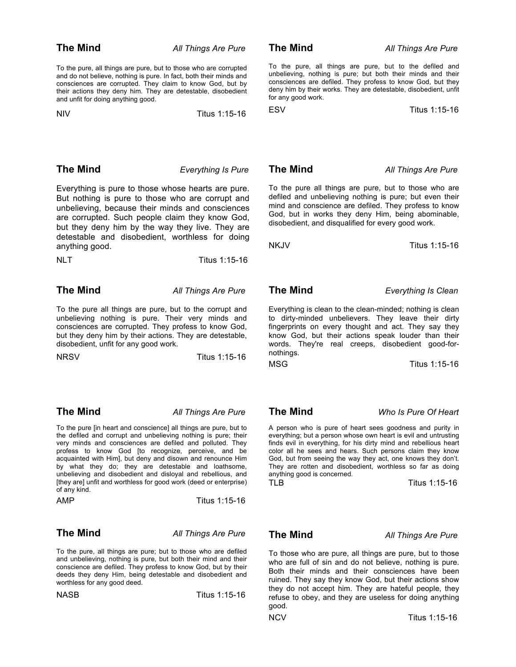To the pure, all things are pure, but to those who are corrupted and do not believe, nothing is pure. In fact, both their minds and consciences are corrupted. They claim to know God, but by their actions they deny him. They are detestable, disobedient and unfit for doing anything good.

NIV Titus 1:15-16

To the pure, all things are pure, but to the defiled and unbelieving, nothing is pure; but both their minds and their consciences are defiled. They profess to know God, but they deny him by their works. They are detestable, disobedient, unfit for any good work.

ESV Titus 1:15-16

**The Mind** *Everything Is Pure*

Everything is pure to those whose hearts are pure. But nothing is pure to those who are corrupt and unbelieving, because their minds and consciences are corrupted. Such people claim they know God, but they deny him by the way they live. They are detestable and disobedient, worthless for doing anything good.

NLT Titus 1:15-16

**The Mind** *All Things Are Pure*

To the pure all things are pure, but to the corrupt and unbelieving nothing is pure. Their very minds and consciences are corrupted. They profess to know God, but they deny him by their actions. They are detestable, disobedient, unfit for any good work.

NRSV Titus 1:15-16

**The Mind** *All Things Are Pure*

To the pure [in heart and conscience] all things are pure, but to the defiled and corrupt and unbelieving nothing is pure; their very minds and consciences are defiled and polluted. They profess to know God [to recognize, perceive, and be acquainted with Him], but deny and disown and renounce Him by what they do; they are detestable and loathsome, unbelieving and disobedient and disloyal and rebellious, and [they are] unfit and worthless for good work (deed or enterprise) of any kind.

| AMP | Titus 1:15-16 |
|-----|---------------|
|     |               |

**The Mind** *All Things Are Pure*

To the pure, all things are pure; but to those who are defiled and unbelieving, nothing is pure, but both their mind and their conscience are defiled. They profess to know God, but by their deeds they deny Him, being detestable and disobedient and worthless for any good deed.

NASB Titus 1:15-16

**The Mind** *All Things Are Pure*

To the pure all things are pure, but to those who are defiled and unbelieving nothing is pure; but even their mind and conscience are defiled. They profess to know God, but in works they deny Him, being abominable, disobedient, and disqualified for every good work.

NKJV Titus 1:15-16

**The Mind** *Everything Is Clean*

Everything is clean to the clean-minded; nothing is clean to dirty-minded unbelievers. They leave their dirty fingerprints on every thought and act. They say they know God, but their actions speak louder than their words. They're real creeps, disobedient good-fornothings.

MSG Titus 1:15-16

### **The Mind** *Who Is Pure Of Heart*

A person who is pure of heart sees goodness and purity in everything; but a person whose own heart is evil and untrusting finds evil in everything, for his dirty mind and rebellious heart color all he sees and hears. Such persons claim they know God, but from seeing the way they act, one knows they don't. They are rotten and disobedient, worthless so far as doing anything good is concerned.

TLB Titus 1:15-16

**The Mind** *All Things Are Pure*

To those who are pure, all things are pure, but to those who are full of sin and do not believe, nothing is pure. Both their minds and their consciences have been ruined. They say they know God, but their actions show they do not accept him. They are hateful people, they refuse to obey, and they are useless for doing anything good.

NCVTitus 1:15-16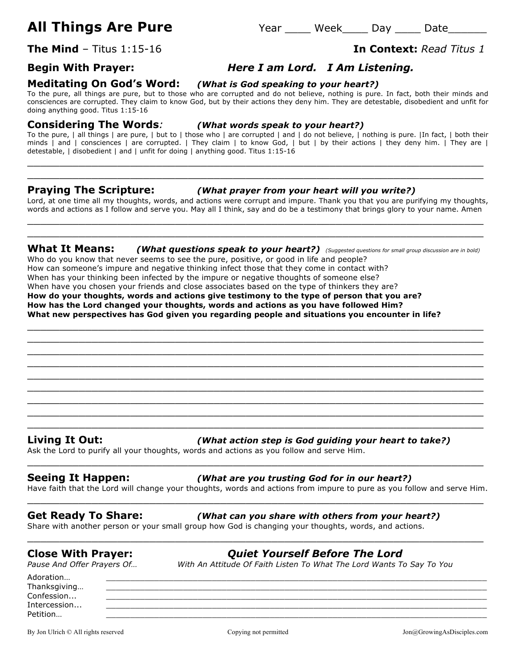# **All Things Are Pure** Year \_\_\_\_ Week\_\_\_\_ Day \_\_\_\_ Date\_\_\_\_\_\_

**The Mind** – Titus 1:15-16 **In Context:** *Read Titus 1*

## **Begin With Prayer:** *Here I am Lord. I Am Listening.*

**Meditating On God's Word:** *(What is God speaking to your heart?)*

To the pure, all things are pure, but to those who are corrupted and do not believe, nothing is pure. In fact, both their minds and consciences are corrupted. They claim to know God, but by their actions they deny him. They are detestable, disobedient and unfit for doing anything good. Titus 1:15-16

### **Considering The Words***: (What words speak to your heart?)*

To the pure, | all things | are pure, | but to | those who | are corrupted | and | do not believe, | nothing is pure. |In fact, | both their minds | and | consciences | are corrupted. | They claim | to know God, | but | by their actions | they deny him. | They are | detestable, | disobedient | and | unfit for doing | anything good. Titus 1:15-16

 $\_$  , and the set of the set of the set of the set of the set of the set of the set of the set of the set of the set of the set of the set of the set of the set of the set of the set of the set of the set of the set of th  $\_$  , and the set of the set of the set of the set of the set of the set of the set of the set of the set of the set of the set of the set of the set of the set of the set of the set of the set of the set of the set of th

### **Praying The Scripture:** *(What prayer from your heart will you write?)*

Lord, at one time all my thoughts, words, and actions were corrupt and impure. Thank you that you are purifying my thoughts, words and actions as I follow and serve you. May all I think, say and do be a testimony that brings glory to your name. Amen  $\_$  , and the set of the set of the set of the set of the set of the set of the set of the set of the set of the set of the set of the set of the set of the set of the set of the set of the set of the set of the set of th

### **What It Means:** *(What questions speak to your heart?) (Suggested questions for small group discussion are in bold)*

 $\_$  , and the set of the set of the set of the set of the set of the set of the set of the set of the set of the set of the set of the set of the set of the set of the set of the set of the set of the set of the set of th  $\_$  , and the set of the set of the set of the set of the set of the set of the set of the set of the set of the set of the set of the set of the set of the set of the set of the set of the set of the set of the set of th  $\_$  , and the set of the set of the set of the set of the set of the set of the set of the set of the set of the set of the set of the set of the set of the set of the set of the set of the set of the set of the set of th  $\_$  , and the set of the set of the set of the set of the set of the set of the set of the set of the set of the set of the set of the set of the set of the set of the set of the set of the set of the set of the set of th  $\_$  , and the set of the set of the set of the set of the set of the set of the set of the set of the set of the set of the set of the set of the set of the set of the set of the set of the set of the set of the set of th  $\_$  , and the set of the set of the set of the set of the set of the set of the set of the set of the set of the set of the set of the set of the set of the set of the set of the set of the set of the set of the set of th  $\_$  , and the set of the set of the set of the set of the set of the set of the set of the set of the set of the set of the set of the set of the set of the set of the set of the set of the set of the set of the set of th  $\_$  , and the set of the set of the set of the set of the set of the set of the set of the set of the set of the set of the set of the set of the set of the set of the set of the set of the set of the set of the set of th  $\_$  , and the set of the set of the set of the set of the set of the set of the set of the set of the set of the set of the set of the set of the set of the set of the set of the set of the set of the set of the set of th

\_\_\_\_\_\_\_\_\_\_\_\_\_\_\_\_\_\_\_\_\_\_\_\_\_\_\_\_\_\_\_\_\_\_\_\_\_\_\_\_\_\_\_\_\_\_\_\_\_\_\_\_\_\_\_\_\_\_\_\_\_\_\_\_\_\_\_\_\_\_\_

Who do you know that never seems to see the pure, positive, or good in life and people? How can someone's impure and negative thinking infect those that they come in contact with? When has your thinking been infected by the impure or negative thoughts of someone else? When have you chosen your friends and close associates based on the type of thinkers they are? **How do your thoughts, words and actions give testimony to the type of person that you are? How has the Lord changed your thoughts, words and actions as you have followed Him? What new perspectives has God given you regarding people and situations you encounter in life?**

### **Living It Out:** *(What action step is God guiding your heart to take?)*

Ask the Lord to purify all your thoughts, words and actions as you follow and serve Him.

### **Seeing It Happen:** *(What are you trusting God for in our heart?)*

Have faith that the Lord will change your thoughts, words and actions from impure to pure as you follow and serve Him.  $\_$  , and the set of the set of the set of the set of the set of the set of the set of the set of the set of the set of the set of the set of the set of the set of the set of the set of the set of the set of the set of th

 $\_$  , and the set of the set of the set of the set of the set of the set of the set of the set of the set of the set of the set of the set of the set of the set of the set of the set of the set of the set of the set of th

 $\_$  , and the set of the set of the set of the set of the set of the set of the set of the set of the set of the set of the set of the set of the set of the set of the set of the set of the set of the set of the set of th

**Get Ready To Share:** *(What can you share with others from your heart?)*

Share with another person or your small group how God is changing your thoughts, words, and actions.

# **Close With Prayer:** *Quiet Yourself Before The Lord*

*Pause And Offer Prayers Of… With An Attitude Of Faith Listen To What The Lord Wants To Say To You*

Adoration… \_\_\_\_\_\_\_\_\_\_\_\_\_\_\_\_\_\_\_\_\_\_\_\_\_\_\_\_\_\_\_\_\_\_\_\_\_\_\_\_\_\_\_\_\_\_\_\_\_\_\_\_\_\_\_\_\_\_\_\_\_\_\_\_\_\_\_\_\_\_\_\_\_\_\_\_\_\_\_ Thanksgiving...  $\textsf{Confession...}\qquad \qquad \_\_$ Intercession... \_\_\_\_\_\_\_\_\_\_\_\_\_\_\_\_\_\_\_\_\_\_\_\_\_\_\_\_\_\_\_\_\_\_\_\_\_\_\_\_\_\_\_\_\_\_\_\_\_\_\_\_\_\_\_\_\_\_\_\_\_\_\_\_\_\_\_\_\_\_\_\_\_\_\_\_\_\_\_ Petition… \_\_\_\_\_\_\_\_\_\_\_\_\_\_\_\_\_\_\_\_\_\_\_\_\_\_\_\_\_\_\_\_\_\_\_\_\_\_\_\_\_\_\_\_\_\_\_\_\_\_\_\_\_\_\_\_\_\_\_\_\_\_\_\_\_\_\_\_\_\_\_\_\_\_\_\_\_\_\_

By Jon Ulrich © All rights reserved examples and comparing Copying not permitted and Jon Donag GrowingAsDisciples.com